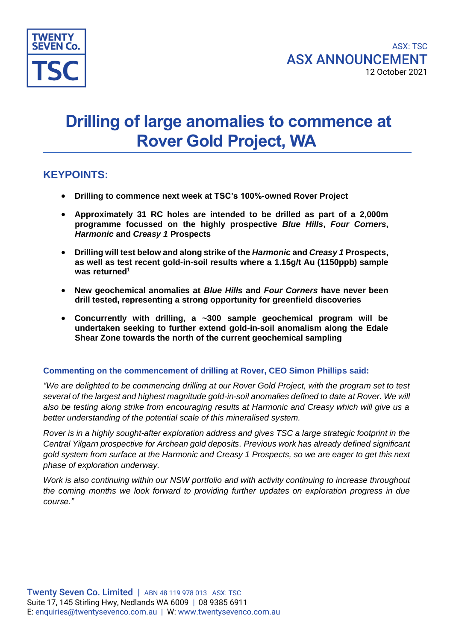

# **Drilling of large anomalies to commence at Rover Gold Project, WA**

## **KEYPOINTS:**

- **Drilling to commence next week at TSC's 100%-owned Rover Project**
- **Approximately 31 RC holes are intended to be drilled as part of a 2,000m programme focussed on the highly prospective** *Blue Hills***,** *Four Corners***,**  *Harmonic* **and** *Creasy 1* **Prospects**
- **Drilling will test below and along strike of the** *Harmonic* **and** *Creasy 1* **Prospects, as well as test recent gold-in-soil results where a 1.15g/t Au (1150ppb) sample was returned**<sup>1</sup>
- **New geochemical anomalies at** *Blue Hills* **and** *Four Corners* **have never been drill tested, representing a strong opportunity for greenfield discoveries**
- **Concurrently with drilling, a ~300 sample geochemical program will be undertaken seeking to further extend gold-in-soil anomalism along the Edale Shear Zone towards the north of the current geochemical sampling**

#### **Commenting on the commencement of drilling at Rover, CEO Simon Phillips said:**

*"We are delighted to be commencing drilling at our Rover Gold Project, with the program set to test several of the largest and highest magnitude gold-in-soil anomalies defined to date at Rover. We will also be testing along strike from encouraging results at Harmonic and Creasy which will give us a better understanding of the potential scale of this mineralised system.* 

*Rover is in a highly sought-after exploration address and gives TSC a large strategic footprint in the Central Yilgarn prospective for Archean gold deposits. Previous work has already defined significant gold system from surface at the Harmonic and Creasy 1 Prospects, so we are eager to get this next phase of exploration underway.* 

*Work is also continuing within our NSW portfolio and with activity continuing to increase throughout the coming months we look forward to providing further updates on exploration progress in due course."*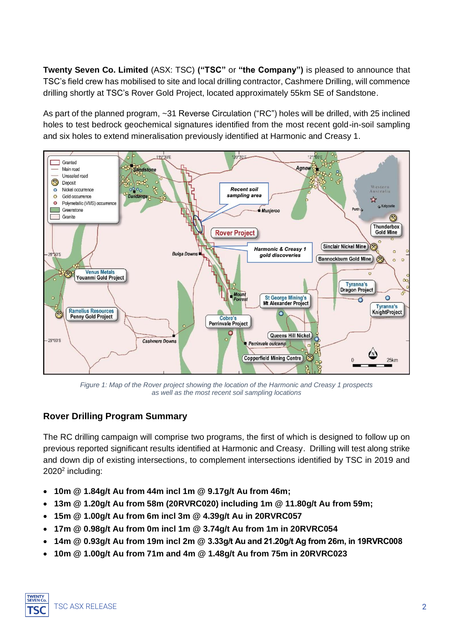**Twenty Seven Co. Limited** (ASX: TSC) **("TSC"** or **"the Company")** is pleased to announce that TSC's field crew has mobilised to site and local drilling contractor, Cashmere Drilling, will commence drilling shortly at TSC's Rover Gold Project, located approximately 55km SE of Sandstone.

As part of the planned program, ~31 Reverse Circulation ("RC") holes will be drilled, with 25 inclined holes to test bedrock geochemical signatures identified from the most recent gold-in-soil sampling and six holes to extend mineralisation previously identified at Harmonic and Creasy 1.



*Figure 1: Map of the Rover project showing the location of the Harmonic and Creasy 1 prospects as well as the most recent soil sampling locations*

### **Rover Drilling Program Summary**

The RC drilling campaign will comprise two programs, the first of which is designed to follow up on previous reported significant results identified at Harmonic and Creasy. Drilling will test along strike and down dip of existing intersections, to complement intersections identified by TSC in 2019 and 2020<sup>2</sup> including:

- **10m @ 1.84g/t Au from 44m incl 1m @ 9.17g/t Au from 46m;**
- **13m @ 1.20g/t Au from 58m (20RVRC020) including 1m @ 11.80g/t Au from 59m;**
- **15m @ 1.00g/t Au from 6m incl 3m @ 4.39g/t Au in 20RVRC057**
- **17m @ 0.98g/t Au from 0m incl 1m @ 3.74g/t Au from 1m in 20RVRC054**
- **14m @ 0.93g/t Au from 19m incl 2m @ 3.33g/t Au and 21.20g/t Ag from 26m, in 19RVRC008**
- **10m @ 1.00g/t Au from 71m and 4m @ 1.48g/t Au from 75m in 20RVRC023**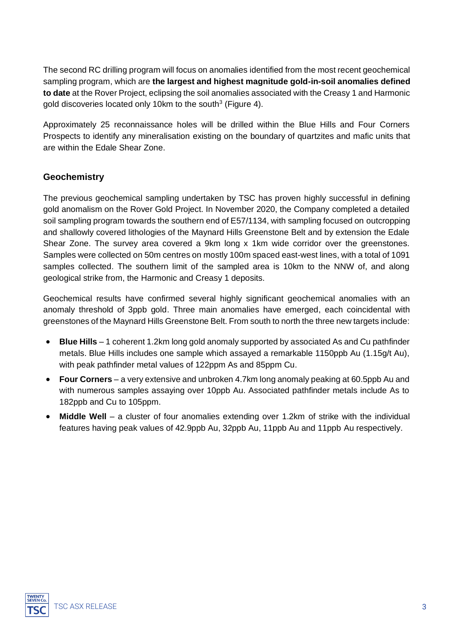The second RC drilling program will focus on anomalies identified from the most recent geochemical sampling program, which are **the largest and highest magnitude gold-in-soil anomalies defined to date** at the Rover Project, eclipsing the soil anomalies associated with the Creasy 1 and Harmonic gold discoveries located only 10km to the south $3$  (Figure 4).

Approximately 25 reconnaissance holes will be drilled within the Blue Hills and Four Corners Prospects to identify any mineralisation existing on the boundary of quartzites and mafic units that are within the Edale Shear Zone.

#### **Geochemistry**

The previous geochemical sampling undertaken by TSC has proven highly successful in defining gold anomalism on the Rover Gold Project. In November 2020, the Company completed a detailed soil sampling program towards the southern end of E57/1134, with sampling focused on outcropping and shallowly covered lithologies of the Maynard Hills Greenstone Belt and by extension the Edale Shear Zone. The survey area covered a 9km long x 1km wide corridor over the greenstones. Samples were collected on 50m centres on mostly 100m spaced east-west lines, with a total of 1091 samples collected. The southern limit of the sampled area is 10km to the NNW of, and along geological strike from, the Harmonic and Creasy 1 deposits.

Geochemical results have confirmed several highly significant geochemical anomalies with an anomaly threshold of 3ppb gold. Three main anomalies have emerged, each coincidental with greenstones of the Maynard Hills Greenstone Belt. From south to north the three new targets include:

- **Blue Hills** 1 coherent 1.2km long gold anomaly supported by associated As and Cu pathfinder metals. Blue Hills includes one sample which assayed a remarkable 1150ppb Au (1.15g/t Au), with peak pathfinder metal values of 122ppm As and 85ppm Cu.
- **Four Corners** a very extensive and unbroken 4.7km long anomaly peaking at 60.5ppb Au and with numerous samples assaying over 10ppb Au. Associated pathfinder metals include As to 182ppb and Cu to 105ppm.
- **Middle Well** a cluster of four anomalies extending over 1.2km of strike with the individual features having peak values of 42.9ppb Au, 32ppb Au, 11ppb Au and 11ppb Au respectively.

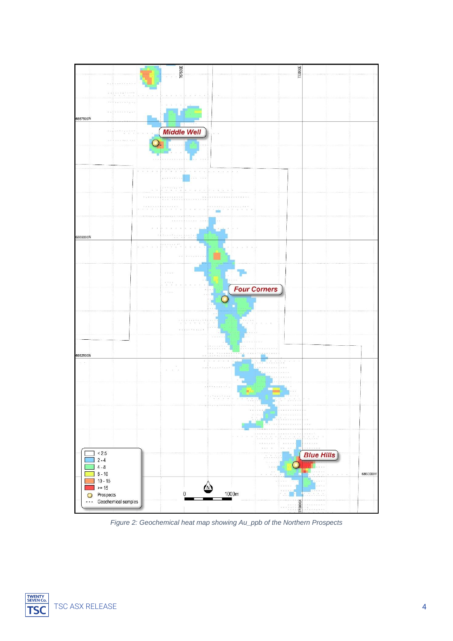

*Figure 2: Geochemical heat map showing Au\_ppb of the Northern Prospects*

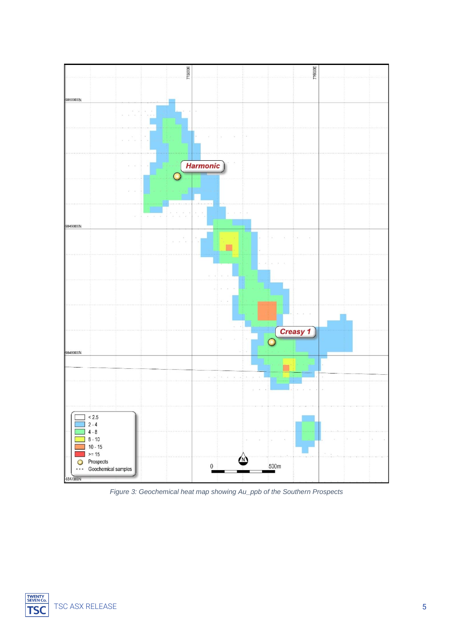

*Figure 3: Geochemical heat map showing Au\_ppb of the Southern Prospects*

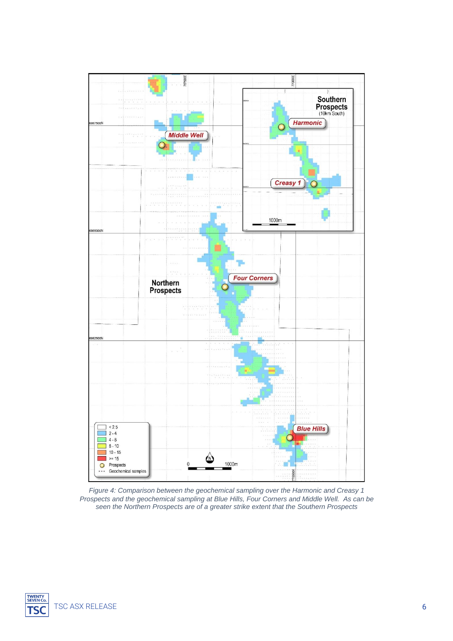

*Figure 4: Comparison between the geochemical sampling over the Harmonic and Creasy 1 Prospects and the geochemical sampling at Blue Hills, Four Corners and Middle Well. As can be seen the Northern Prospects are of a greater strike extent that the Southern Prospects*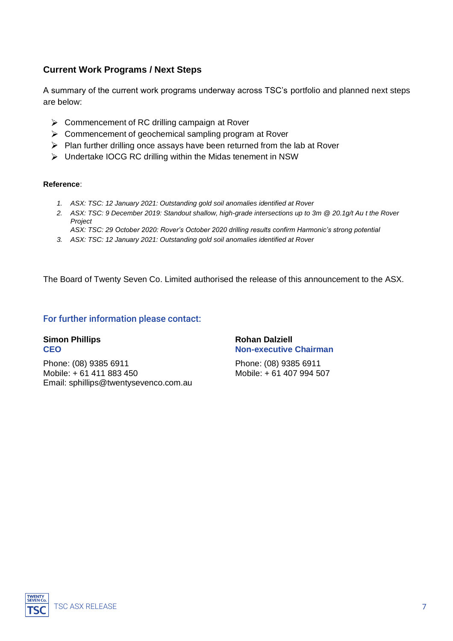### **Current Work Programs / Next Steps**

A summary of the current work programs underway across TSC's portfolio and planned next steps are below:

- $\triangleright$  Commencement of RC drilling campaign at Rover
- $\triangleright$  Commencement of geochemical sampling program at Rover
- $\triangleright$  Plan further drilling once assays have been returned from the lab at Rover
- Undertake IOCG RC drilling within the Midas tenement in NSW

#### **Reference**:

- *1. ASX: TSC: 12 January 2021: Outstanding gold soil anomalies identified at Rover*
- *2. ASX: TSC: 9 December 2019: Standout shallow, high-grade intersections up to 3m @ 20.1g/t Au t the Rover Project ASX: TSC: 29 October 2020: Rover's October 2020 drilling results confirm Harmonic's strong potential*
- *3. ASX: TSC: 12 January 2021: Outstanding gold soil anomalies identified at Rover*

The Board of Twenty Seven Co. Limited authorised the release of this announcement to the ASX.

#### For further information please contact:

# **Simon Phillips Rohan Dalziell**

Phone: (08) 9385 6911 Phone: (08) 9385 6911 Mobile: + 61 411 883 450 Mobile: + 61 407 994 507 Email: sphillips@twentysevenco.com.au

# **CEO Non-executive Chairman**